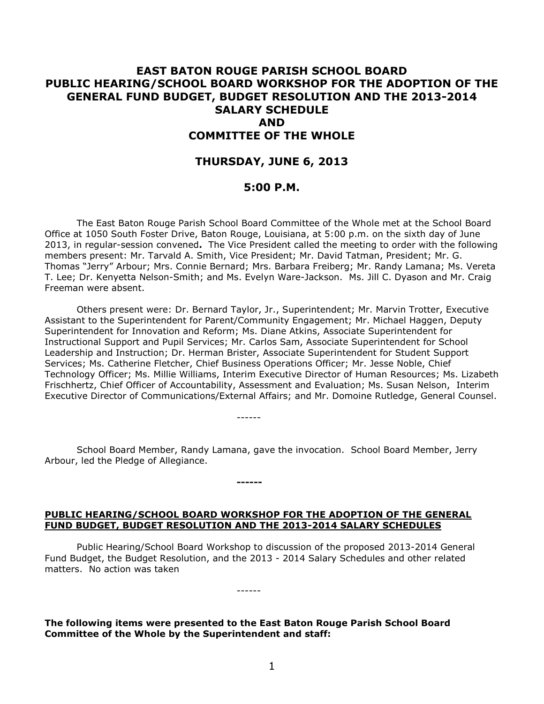# **EAST BATON ROUGE PARISH SCHOOL BOARD PUBLIC HEARING/SCHOOL BOARD WORKSHOP FOR THE ADOPTION OF THE GENERAL FUND BUDGET, BUDGET RESOLUTION AND THE 2013-2014 SALARY SCHEDULE AND COMMITTEE OF THE WHOLE**

# **THURSDAY, JUNE 6, 2013**

### **5:00 P.M.**

The East Baton Rouge Parish School Board Committee of the Whole met at the School Board Office at 1050 South Foster Drive, Baton Rouge, Louisiana, at 5:00 p.m. on the sixth day of June 2013, in regular-session convened**.** The Vice President called the meeting to order with the following members present: Mr. Tarvald A. Smith, Vice President; Mr. David Tatman, President; Mr. G. Thomas "Jerry" Arbour; Mrs. Connie Bernard; Mrs. Barbara Freiberg; Mr. Randy Lamana; Ms. Vereta T. Lee; Dr. Kenyetta Nelson-Smith; and Ms. Evelyn Ware-Jackson. Ms. Jill C. Dyason and Mr. Craig Freeman were absent.

Others present were: Dr. Bernard Taylor, Jr., Superintendent; Mr. Marvin Trotter, Executive Assistant to the Superintendent for Parent/Community Engagement; Mr. Michael Haggen, Deputy Superintendent for Innovation and Reform; Ms. Diane Atkins, Associate Superintendent for Instructional Support and Pupil Services; Mr. Carlos Sam, Associate Superintendent for School Leadership and Instruction; Dr. Herman Brister, Associate Superintendent for Student Support Services; Ms. Catherine Fletcher, Chief Business Operations Officer; Mr. Jesse Noble, Chief Technology Officer; Ms. Millie Williams, Interim Executive Director of Human Resources; Ms. Lizabeth Frischhertz, Chief Officer of Accountability, Assessment and Evaluation; Ms. Susan Nelson, Interim Executive Director of Communications/External Affairs; and Mr. Domoine Rutledge, General Counsel.

School Board Member, Randy Lamana, gave the invocation. School Board Member, Jerry Arbour, led the Pledge of Allegiance.

------

**------**

# **PUBLIC HEARING/SCHOOL BOARD WORKSHOP FOR THE ADOPTION OF THE GENERAL FUND BUDGET, BUDGET RESOLUTION AND THE 2013-2014 SALARY SCHEDULES**

Public Hearing/School Board Workshop to discussion of the proposed 2013-2014 General Fund Budget, the Budget Resolution, and the 2013 - 2014 Salary Schedules and other related matters. No action was taken

**The following items were presented to the East Baton Rouge Parish School Board Committee of the Whole by the Superintendent and staff:**

------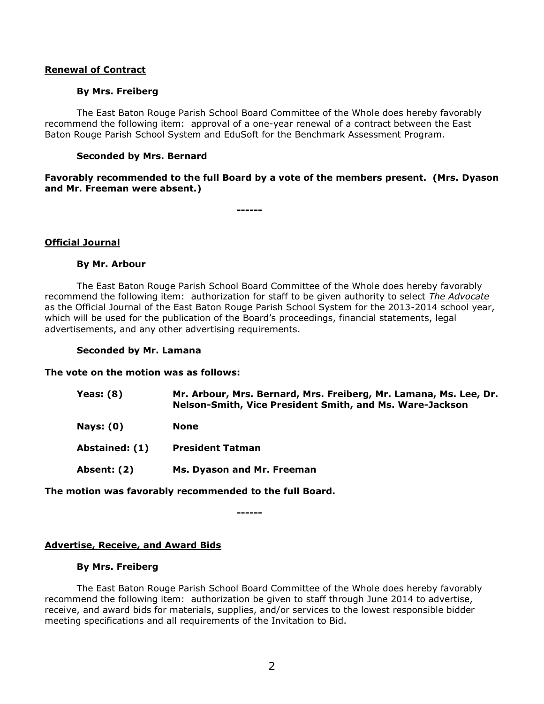### **Renewal of Contract**

#### **By Mrs. Freiberg**

The East Baton Rouge Parish School Board Committee of the Whole does hereby favorably recommend the following item: approval of a one-year renewal of a contract between the East Baton Rouge Parish School System and EduSoft for the Benchmark Assessment Program.

### **Seconded by Mrs. Bernard**

**Favorably recommended to the full Board by a vote of the members present. (Mrs. Dyason and Mr. Freeman were absent.)**

**------**

#### **Official Journal**

### **By Mr. Arbour**

The East Baton Rouge Parish School Board Committee of the Whole does hereby favorably recommend the following item: authorization for staff to be given authority to select *The Advocate* as the Official Journal of the East Baton Rouge Parish School System for the 2013-2014 school year, which will be used for the publication of the Board's proceedings, financial statements, legal advertisements, and any other advertising requirements.

#### **Seconded by Mr. Lamana**

#### **The vote on the motion was as follows:**

| Yeas: $(8)$      | Mr. Arbour, Mrs. Bernard, Mrs. Freiberg, Mr. Lamana, Ms. Lee, Dr.<br>Nelson-Smith, Vice President Smith, and Ms. Ware-Jackson |
|------------------|-------------------------------------------------------------------------------------------------------------------------------|
| <b>Nays: (0)</b> | <b>None</b>                                                                                                                   |
| Abstained: (1)   | <b>President Tatman</b>                                                                                                       |
| Absent: (2)      | Ms. Dyason and Mr. Freeman                                                                                                    |
|                  |                                                                                                                               |

# **The motion was favorably recommended to the full Board.**

**------**

#### **Advertise, Receive, and Award Bids**

#### **By Mrs. Freiberg**

The East Baton Rouge Parish School Board Committee of the Whole does hereby favorably recommend the following item: authorization be given to staff through June 2014 to advertise, receive, and award bids for materials, supplies, and/or services to the lowest responsible bidder meeting specifications and all requirements of the Invitation to Bid.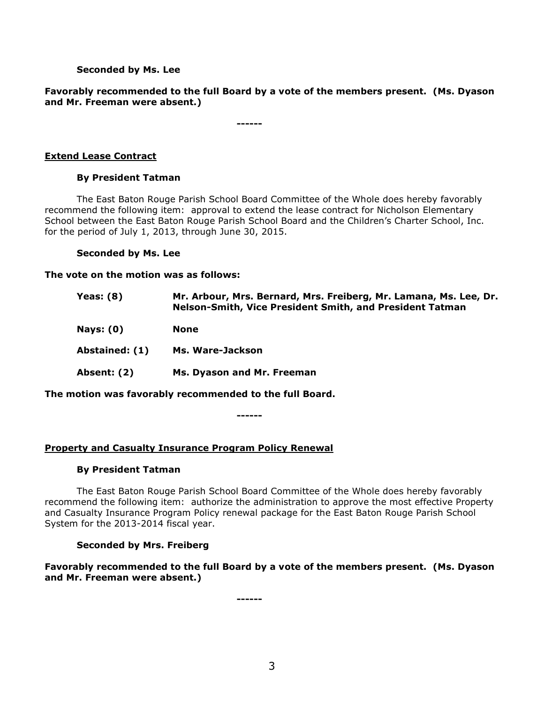# **Seconded by Ms. Lee**

# **Favorably recommended to the full Board by a vote of the members present. (Ms. Dyason and Mr. Freeman were absent.)**

**------**

# **Extend Lease Contract**

# **By President Tatman**

The East Baton Rouge Parish School Board Committee of the Whole does hereby favorably recommend the following item: approval to extend the lease contract for Nicholson Elementary School between the East Baton Rouge Parish School Board and the Children's Charter School, Inc. for the period of July 1, 2013, through June 30, 2015.

#### **Seconded by Ms. Lee**

**The vote on the motion was as follows:**

| Yeas: $(8)$      | Mr. Arbour, Mrs. Bernard, Mrs. Freiberg, Mr. Lamana, Ms. Lee, Dr.<br>Nelson-Smith, Vice President Smith, and President Tatman |
|------------------|-------------------------------------------------------------------------------------------------------------------------------|
| <b>Nays: (0)</b> | <b>None</b>                                                                                                                   |
| Abstained: (1)   | Ms. Ware-Jackson                                                                                                              |
| Absent: (2)      | Ms. Dyason and Mr. Freeman                                                                                                    |
|                  |                                                                                                                               |

**The motion was favorably recommended to the full Board.**

**------**

# **Property and Casualty Insurance Program Policy Renewal**

# **By President Tatman**

The East Baton Rouge Parish School Board Committee of the Whole does hereby favorably recommend the following item: authorize the administration to approve the most effective Property and Casualty Insurance Program Policy renewal package for the East Baton Rouge Parish School System for the 2013-2014 fiscal year.

# **Seconded by Mrs. Freiberg**

**Favorably recommended to the full Board by a vote of the members present. (Ms. Dyason and Mr. Freeman were absent.)**

**------**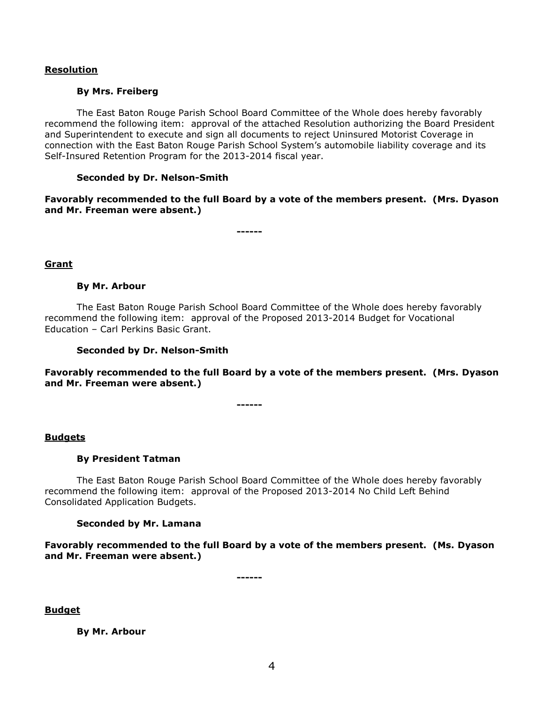### **Resolution**

#### **By Mrs. Freiberg**

The East Baton Rouge Parish School Board Committee of the Whole does hereby favorably recommend the following item: approval of the attached Resolution authorizing the Board President and Superintendent to execute and sign all documents to reject Uninsured Motorist Coverage in connection with the East Baton Rouge Parish School System's automobile liability coverage and its Self-Insured Retention Program for the 2013-2014 fiscal year.

#### **Seconded by Dr. Nelson-Smith**

**Favorably recommended to the full Board by a vote of the members present. (Mrs. Dyason and Mr. Freeman were absent.)**

**------**

# **Grant**

#### **By Mr. Arbour**

The East Baton Rouge Parish School Board Committee of the Whole does hereby favorably recommend the following item: approval of the Proposed 2013-2014 Budget for Vocational Education – Carl Perkins Basic Grant.

### **Seconded by Dr. Nelson-Smith**

**Favorably recommended to the full Board by a vote of the members present. (Mrs. Dyason and Mr. Freeman were absent.)**

**------**

#### **Budgets**

# **By President Tatman**

The East Baton Rouge Parish School Board Committee of the Whole does hereby favorably recommend the following item: approval of the Proposed 2013-2014 No Child Left Behind Consolidated Application Budgets.

# **Seconded by Mr. Lamana**

**Favorably recommended to the full Board by a vote of the members present. (Ms. Dyason and Mr. Freeman were absent.)**

**------**

**Budget**

**By Mr. Arbour**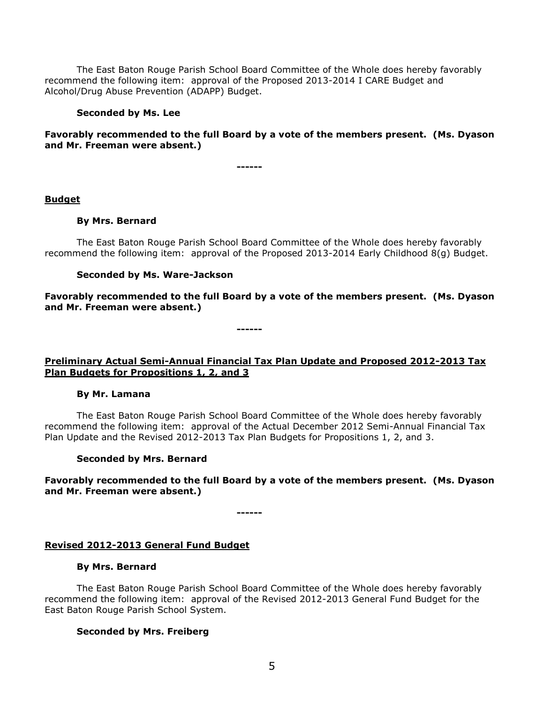The East Baton Rouge Parish School Board Committee of the Whole does hereby favorably recommend the following item: approval of the Proposed 2013-2014 I CARE Budget and Alcohol/Drug Abuse Prevention (ADAPP) Budget.

#### **Seconded by Ms. Lee**

# **Favorably recommended to the full Board by a vote of the members present. (Ms. Dyason and Mr. Freeman were absent.)**

**------**

#### **Budget**

#### **By Mrs. Bernard**

The East Baton Rouge Parish School Board Committee of the Whole does hereby favorably recommend the following item: approval of the Proposed 2013-2014 Early Childhood 8(g) Budget.

#### **Seconded by Ms. Ware-Jackson**

**Favorably recommended to the full Board by a vote of the members present. (Ms. Dyason and Mr. Freeman were absent.)**

**------**

# **Preliminary Actual Semi-Annual Financial Tax Plan Update and Proposed 2012-2013 Tax Plan Budgets for Propositions 1, 2, and 3**

#### **By Mr. Lamana**

The East Baton Rouge Parish School Board Committee of the Whole does hereby favorably recommend the following item: approval of the Actual December 2012 Semi-Annual Financial Tax Plan Update and the Revised 2012-2013 Tax Plan Budgets for Propositions 1, 2, and 3.

#### **Seconded by Mrs. Bernard**

**Favorably recommended to the full Board by a vote of the members present. (Ms. Dyason and Mr. Freeman were absent.)**

**------**

# **Revised 2012-2013 General Fund Budget**

#### **By Mrs. Bernard**

The East Baton Rouge Parish School Board Committee of the Whole does hereby favorably recommend the following item: approval of the Revised 2012-2013 General Fund Budget for the East Baton Rouge Parish School System.

# **Seconded by Mrs. Freiberg**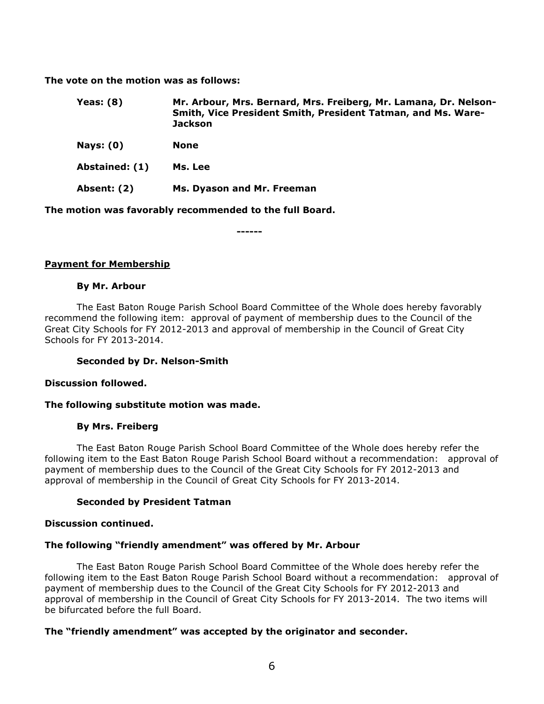**The vote on the motion was as follows:**

| Yeas: $(8)$    | Mr. Arbour, Mrs. Bernard, Mrs. Freiberg, Mr. Lamana, Dr. Nelson-<br>Smith, Vice President Smith, President Tatman, and Ms. Ware-<br><b>Jackson</b> |
|----------------|----------------------------------------------------------------------------------------------------------------------------------------------------|
| Nays: $(0)$    | <b>None</b>                                                                                                                                        |
| Abstained: (1) | Ms. Lee                                                                                                                                            |
| Absent: (2)    | Ms. Dyason and Mr. Freeman                                                                                                                         |

**The motion was favorably recommended to the full Board.**

**------**

# **Payment for Membership**

#### **By Mr. Arbour**

The East Baton Rouge Parish School Board Committee of the Whole does hereby favorably recommend the following item:approval of payment of membership dues to the Council of the Great City Schools for FY 2012-2013 and approval of membership in the Council of Great City Schools for FY 2013-2014.

# **Seconded by Dr. Nelson-Smith**

#### **Discussion followed.**

# **The following substitute motion was made.**

# **By Mrs. Freiberg**

The East Baton Rouge Parish School Board Committee of the Whole does hereby refer the following item to the East Baton Rouge Parish School Board without a recommendation:approval of payment of membership dues to the Council of the Great City Schools for FY 2012-2013 and approval of membership in the Council of Great City Schools for FY 2013-2014.

#### **Seconded by President Tatman**

#### **Discussion continued.**

# **The following "friendly amendment" was offered by Mr. Arbour**

The East Baton Rouge Parish School Board Committee of the Whole does hereby refer the following item to the East Baton Rouge Parish School Board without a recommendation: approval of payment of membership dues to the Council of the Great City Schools for FY 2012-2013 and approval of membership in the Council of Great City Schools for FY 2013-2014. The two items will be bifurcated before the full Board.

# **The "friendly amendment" was accepted by the originator and seconder.**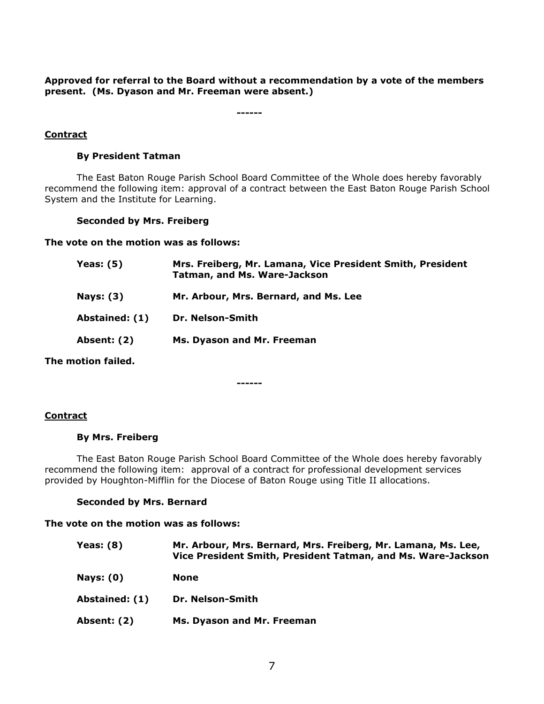**Approved for referral to the Board without a recommendation by a vote of the members present. (Ms. Dyason and Mr. Freeman were absent.)**

**------**

# **Contract**

# **By President Tatman**

The East Baton Rouge Parish School Board Committee of the Whole does hereby favorably recommend the following item: approval of a contract between the East Baton Rouge Parish School System and the Institute for Learning.

# **Seconded by Mrs. Freiberg**

**The vote on the motion was as follows:**

| Yeas: $(5)$        | Mrs. Freiberg, Mr. Lamana, Vice President Smith, President<br><b>Tatman, and Ms. Ware-Jackson</b> |
|--------------------|---------------------------------------------------------------------------------------------------|
| <b>Nays: (3)</b>   | Mr. Arbour, Mrs. Bernard, and Ms. Lee                                                             |
| Abstained: (1)     | Dr. Nelson-Smith                                                                                  |
| Absent: (2)        | Ms. Dyason and Mr. Freeman                                                                        |
| The motion failed. |                                                                                                   |

**------**

# **Contract**

#### **By Mrs. Freiberg**

The East Baton Rouge Parish School Board Committee of the Whole does hereby favorably recommend the following item: approval of a contract for professional development services provided by Houghton-Mifflin for the Diocese of Baton Rouge using Title II allocations.

# **Seconded by Mrs. Bernard**

# **The vote on the motion was as follows:**

| <b>Yeas: (8)</b> | Mr. Arbour, Mrs. Bernard, Mrs. Freiberg, Mr. Lamana, Ms. Lee,<br>Vice President Smith, President Tatman, and Ms. Ware-Jackson |
|------------------|-------------------------------------------------------------------------------------------------------------------------------|
| <b>Nays: (0)</b> | <b>None</b>                                                                                                                   |
| Abstained: (1)   | Dr. Nelson-Smith                                                                                                              |
| Absent: (2)      | Ms. Dyason and Mr. Freeman                                                                                                    |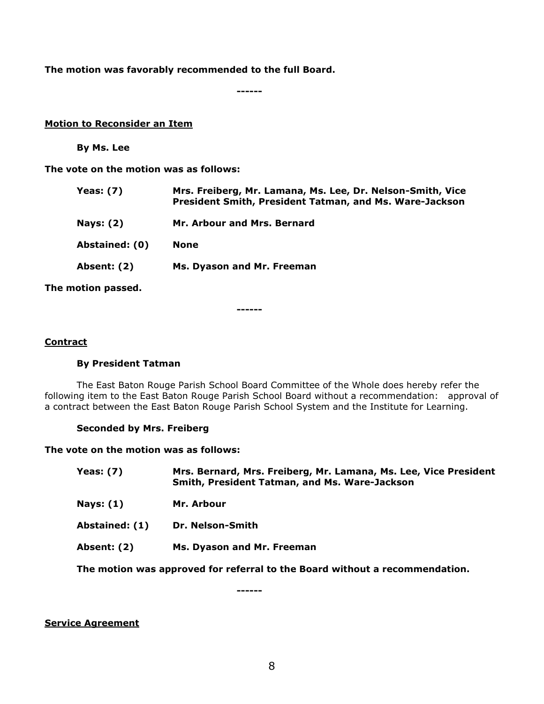**The motion was favorably recommended to the full Board.**

**------**

### **Motion to Reconsider an Item**

**By Ms. Lee**

**The vote on the motion was as follows:**

| Yeas: (7)          | Mrs. Freiberg, Mr. Lamana, Ms. Lee, Dr. Nelson-Smith, Vice<br>President Smith, President Tatman, and Ms. Ware-Jackson |
|--------------------|-----------------------------------------------------------------------------------------------------------------------|
| <b>Nays: (2)</b>   | Mr. Arbour and Mrs. Bernard                                                                                           |
| Abstained: (0)     | <b>None</b>                                                                                                           |
| <b>Absent: (2)</b> | Ms. Dyason and Mr. Freeman                                                                                            |
|                    |                                                                                                                       |

**The motion passed.**

**------**

#### **Contract**

# **By President Tatman**

The East Baton Rouge Parish School Board Committee of the Whole does hereby refer the following item to the East Baton Rouge Parish School Board without a recommendation: approval of a contract between the East Baton Rouge Parish School System and the Institute for Learning.

# **Seconded by Mrs. Freiberg**

**The vote on the motion was as follows:**

| Yeas: $(7)$ | Mrs. Bernard, Mrs. Freiberg, Mr. Lamana, Ms. Lee, Vice President<br>Smith, President Tatman, and Ms. Ware-Jackson |
|-------------|-------------------------------------------------------------------------------------------------------------------|
| Nays: $(1)$ | Mr. Arbour                                                                                                        |

- **Abstained: (1) Dr. Nelson-Smith**
- **Absent: (2) Ms. Dyason and Mr. Freeman**

**The motion was approved for referral to the Board without a recommendation.**

**------**

**Service Agreement**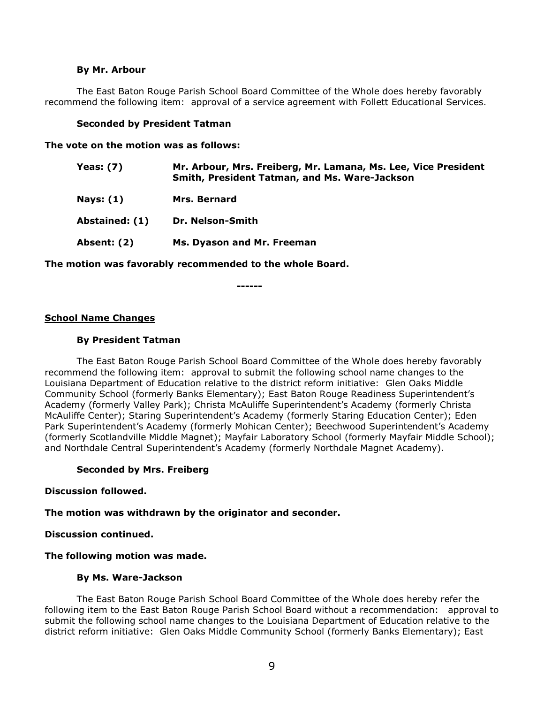#### **By Mr. Arbour**

The East Baton Rouge Parish School Board Committee of the Whole does hereby favorably recommend the following item: approval of a service agreement with Follett Educational Services.

#### **Seconded by President Tatman**

**The vote on the motion was as follows:**

| Yeas: (7)          | Mr. Arbour, Mrs. Freiberg, Mr. Lamana, Ms. Lee, Vice President<br>Smith, President Tatman, and Ms. Ware-Jackson |
|--------------------|-----------------------------------------------------------------------------------------------------------------|
| Nays: $(1)$        | Mrs. Bernard                                                                                                    |
| Abstained: (1)     | Dr. Nelson-Smith                                                                                                |
| <b>Absent: (2)</b> | Ms. Dyason and Mr. Freeman                                                                                      |
|                    |                                                                                                                 |

**The motion was favorably recommended to the whole Board.**

**------**

#### **School Name Changes**

#### **By President Tatman**

The East Baton Rouge Parish School Board Committee of the Whole does hereby favorably recommend the following item: approval to submit the following school name changes to the Louisiana Department of Education relative to the district reform initiative: Glen Oaks Middle Community School (formerly Banks Elementary); East Baton Rouge Readiness Superintendent's Academy (formerly Valley Park); Christa McAuliffe Superintendent's Academy (formerly Christa McAuliffe Center); Staring Superintendent's Academy (formerly Staring Education Center); Eden Park Superintendent's Academy (formerly Mohican Center); Beechwood Superintendent's Academy (formerly Scotlandville Middle Magnet); Mayfair Laboratory School (formerly Mayfair Middle School); and Northdale Central Superintendent's Academy (formerly Northdale Magnet Academy).

# **Seconded by Mrs. Freiberg**

#### **Discussion followed.**

**The motion was withdrawn by the originator and seconder.**

#### **Discussion continued.**

#### **The following motion was made.**

#### **By Ms. Ware-Jackson**

The East Baton Rouge Parish School Board Committee of the Whole does hereby refer the following item to the East Baton Rouge Parish School Board without a recommendation: approval to submit the following school name changes to the Louisiana Department of Education relative to the district reform initiative: Glen Oaks Middle Community School (formerly Banks Elementary); East